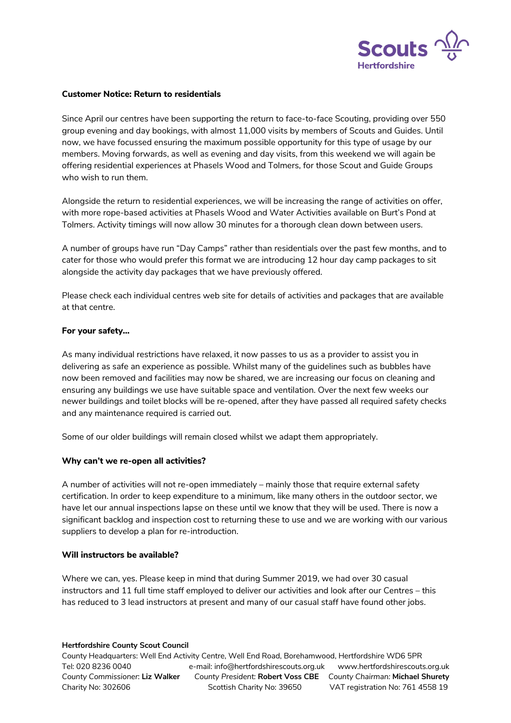

## **Customer Notice: Return to residentials**

Since April our centres have been supporting the return to face-to-face Scouting, providing over 550 group evening and day bookings, with almost 11,000 visits by members of Scouts and Guides. Until now, we have focussed ensuring the maximum possible opportunity for this type of usage by our members. Moving forwards, as well as evening and day visits, from this weekend we will again be offering residential experiences at Phasels Wood and Tolmers, for those Scout and Guide Groups who wish to run them.

Alongside the return to residential experiences, we will be increasing the range of activities on offer, with more rope-based activities at Phasels Wood and Water Activities available on Burt's Pond at Tolmers. Activity timings will now allow 30 minutes for a thorough clean down between users.

A number of groups have run "Day Camps" rather than residentials over the past few months, and to cater for those who would prefer this format we are introducing 12 hour day camp packages to sit alongside the activity day packages that we have previously offered.

Please check each individual centres web site for details of activities and packages that are available at that centre.

## **For your safety…**

As many individual restrictions have relaxed, it now passes to us as a provider to assist you in delivering as safe an experience as possible. Whilst many of the guidelines such as bubbles have now been removed and facilities may now be shared, we are increasing our focus on cleaning and ensuring any buildings we use have suitable space and ventilation. Over the next few weeks our newer buildings and toilet blocks will be re-opened, after they have passed all required safety checks and any maintenance required is carried out.

Some of our older buildings will remain closed whilst we adapt them appropriately.

### **Why can't we re-open all activities?**

A number of activities will not re-open immediately – mainly those that require external safety certification. In order to keep expenditure to a minimum, like many others in the outdoor sector, we have let our annual inspections lapse on these until we know that they will be used. There is now a significant backlog and inspection cost to returning these to use and we are working with our various suppliers to develop a plan for re-introduction.

### **Will instructors be available?**

Where we can, yes. Please keep in mind that during Summer 2019, we had over 30 casual instructors and 11 full time staff employed to deliver our activities and look after our Centres – this has reduced to 3 lead instructors at present and many of our casual staff have found other jobs.

### **Hertfordshire County Scout Council**

County Headquarters: Well End Activity Centre, Well End Road, Borehamwood, Hertfordshire WD6 5PR Tel: 020 8236 0040 e-mail: info@hertfordshirescouts.org.uk www.hertfordshirescouts.org.uk *County Commissioner*: **Liz Walker** *County President:* **Robert Voss CBE** *County Chairman:* **Michael Shurety** Charity No: 302606 Scottish Charity No: 39650 VAT registration No: 761 4558 19